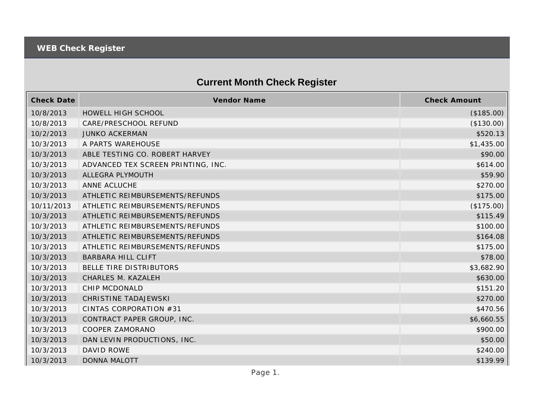## **Current Month Check Register**

| <b>Check Date</b> | Vendor Name                        | <b>Check Amount</b> |
|-------------------|------------------------------------|---------------------|
| 10/8/2013         | HOWELL HIGH SCHOOL                 | (\$185.00)          |
| 10/8/2013         | CARE/PRESCHOOL REFUND              | (\$130.00)          |
| 10/2/2013         | <b>JUNKO ACKERMAN</b>              | \$520.13            |
| 10/3/2013         | A PARTS WAREHOUSE                  | \$1,435.00          |
| 10/3/2013         | ABLE TESTING CO. ROBERT HARVEY     | \$90.00             |
| 10/3/2013         | ADVANCED TEX SCREEN PRINTING, INC. | \$614.00            |
| 10/3/2013         | ALLEGRA PLYMOUTH                   | \$59.90             |
| 10/3/2013         | ANNE ACLUCHE                       | \$270.00            |
| 10/3/2013         | ATHLETIC REIMBURSEMENTS/REFUNDS    | \$175.00            |
| 10/11/2013        | ATHLETIC REIMBURSEMENTS/REFUNDS    | (\$175.00)          |
| 10/3/2013         | ATHLETIC REIMBURSEMENTS/REFUNDS    | \$115.49            |
| 10/3/2013         | ATHLETIC REIMBURSEMENTS/REFUNDS    | \$100.00            |
| 10/3/2013         | ATHLETIC REIMBURSEMENTS/REFUNDS    | \$164.08            |
| 10/3/2013         | ATHLETIC REIMBURSEMENTS/REFUNDS    | \$175.00            |
| 10/3/2013         | <b>BARBARA HILL CLIFT</b>          | \$78.00             |
| 10/3/2013         | BELLE TIRE DISTRIBUTORS            | \$3,682.90          |
| 10/3/2013         | CHARLES M. KAZALEH                 | \$630.00            |
| 10/3/2013         | CHIP MCDONALD                      | \$151.20            |
| 10/3/2013         | <b>CHRISTINE TADAJEWSKI</b>        | \$270.00            |
| 10/3/2013         | CINTAS CORPORATION #31             | \$470.56            |
| 10/3/2013         | CONTRACT PAPER GROUP, INC.         | \$6,660.55          |
| 10/3/2013         | COOPER ZAMORANO                    | \$900.00            |
| 10/3/2013         | DAN LEVIN PRODUCTIONS, INC.        | \$50.00             |
| 10/3/2013         | DAVID ROWE                         | \$240.00            |
| 10/3/2013         | <b>DONNA MALOTT</b>                | \$139.99            |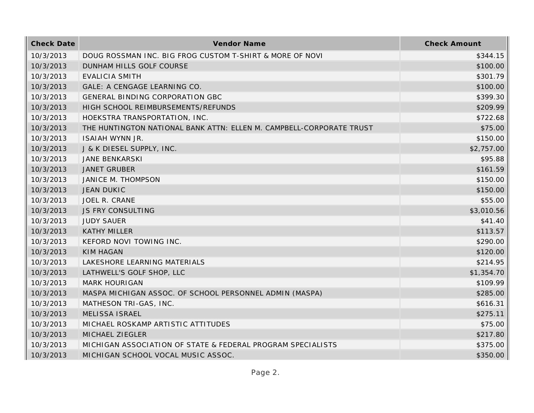| <b>Check Date</b> | Vendor Name                                                          | <b>Check Amount</b> |
|-------------------|----------------------------------------------------------------------|---------------------|
| 10/3/2013         | DOUG ROSSMAN INC. BIG FROG CUSTOM T-SHIRT & MORE OF NOVI             | \$344.15            |
| 10/3/2013         | DUNHAM HILLS GOLF COURSE                                             | \$100.00            |
| 10/3/2013         | <b>EVALICIA SMITH</b>                                                | \$301.79            |
| 10/3/2013         | GALE: A CENGAGE LEARNING CO.                                         | \$100.00            |
| 10/3/2013         | GENERAL BINDING CORPORATION GBC                                      | \$399.30            |
| 10/3/2013         | HIGH SCHOOL REIMBURSEMENTS/REFUNDS                                   | \$209.99            |
| 10/3/2013         | HOEKSTRA TRANSPORTATION, INC.                                        | \$722.68            |
| 10/3/2013         | THE HUNTINGTON NATIONAL BANK ATTN: ELLEN M. CAMPBELL-CORPORATE TRUST | \$75.00             |
| 10/3/2013         | ISAIAH WYNN JR.                                                      | \$150.00            |
| 10/3/2013         | J & K DIESEL SUPPLY, INC.                                            | \$2,757.00          |
| 10/3/2013         | <b>JANE BENKARSKI</b>                                                | \$95.88             |
| 10/3/2013         | <b>JANET GRUBER</b>                                                  | \$161.59            |
| 10/3/2013         | JANICE M. THOMPSON                                                   | \$150.00            |
| 10/3/2013         | <b>JEAN DUKIC</b>                                                    | \$150.00            |
| 10/3/2013         | JOEL R. CRANE                                                        | \$55.00             |
| 10/3/2013         | JS FRY CONSULTING                                                    | \$3,010.56          |
| 10/3/2013         | <b>JUDY SAUER</b>                                                    | \$41.40             |
| 10/3/2013         | <b>KATHY MILLER</b>                                                  | \$113.57            |
| 10/3/2013         | KEFORD NOVI TOWING INC.                                              | \$290.00            |
| 10/3/2013         | <b>KIM HAGAN</b>                                                     | \$120.00            |
| 10/3/2013         | LAKESHORE LEARNING MATERIALS                                         | \$214.95            |
| 10/3/2013         | LATHWELL'S GOLF SHOP, LLC                                            | \$1,354.70          |
| 10/3/2013         | <b>MARK HOURIGAN</b>                                                 | \$109.99            |
| 10/3/2013         | MASPA MICHIGAN ASSOC. OF SCHOOL PERSONNEL ADMIN (MASPA)              | \$285.00            |
| 10/3/2013         | MATHESON TRI-GAS, INC.                                               | \$616.31            |
| 10/3/2013         | <b>MELISSA ISRAEL</b>                                                | \$275.11            |
| 10/3/2013         | MICHAEL ROSKAMP ARTISTIC ATTITUDES                                   | \$75.00             |
| 10/3/2013         | MICHAEL ZIEGLER                                                      | \$217.80            |
| 10/3/2013         | MICHIGAN ASSOCIATION OF STATE & FEDERAL PROGRAM SPECIALISTS          | \$375.00            |
| 10/3/2013         | MICHIGAN SCHOOL VOCAL MUSIC ASSOC.                                   | \$350.00            |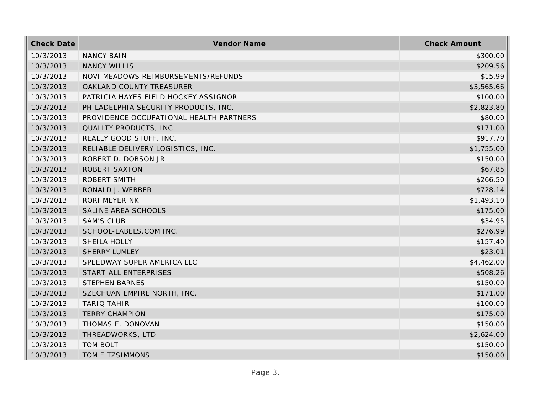| <b>Check Date</b> | Vendor Name                             | <b>Check Amount</b> |
|-------------------|-----------------------------------------|---------------------|
| 10/3/2013         | <b>NANCY BAIN</b>                       | \$300.00            |
| 10/3/2013         | <b>NANCY WILLIS</b>                     | \$209.56            |
| 10/3/2013         | NOVI MEADOWS REIMBURSEMENTS/REFUNDS     | \$15.99             |
| 10/3/2013         | OAKLAND COUNTY TREASURER                | \$3,565.66          |
| 10/3/2013         | PATRICIA HAYES FIELD HOCKEY ASSIGNOR    | \$100.00            |
| 10/3/2013         | PHILADELPHIA SECURITY PRODUCTS, INC.    | \$2,823.80          |
| 10/3/2013         | PROVIDENCE OCCUPATIONAL HEALTH PARTNERS | \$80.00             |
| 10/3/2013         | QUALITY PRODUCTS, INC                   | \$171.00            |
| 10/3/2013         | REALLY GOOD STUFF, INC.                 | \$917.70            |
| 10/3/2013         | RELIABLE DELIVERY LOGISTICS, INC.       | \$1,755.00          |
| 10/3/2013         | ROBERT D. DOBSON JR.                    | \$150.00            |
| 10/3/2013         | <b>ROBERT SAXTON</b>                    | \$67.85             |
| 10/3/2013         | <b>ROBERT SMITH</b>                     | \$266.50            |
| 10/3/2013         | RONALD J. WEBBER                        | \$728.14            |
| 10/3/2013         | RORI MEYERINK                           | \$1,493.10          |
| 10/3/2013         | SALINE AREA SCHOOLS                     | \$175.00            |
| 10/3/2013         | <b>SAM'S CLUB</b>                       | \$34.95             |
| 10/3/2013         | SCHOOL-LABELS.COM INC.                  | \$276.99            |
| 10/3/2013         | SHEILA HOLLY                            | \$157.40            |
| 10/3/2013         | <b>SHERRY LUMLEY</b>                    | \$23.01             |
| 10/3/2013         | SPEEDWAY SUPER AMERICA LLC              | \$4,462.00          |
| 10/3/2013         | START-ALL ENTERPRISES                   | \$508.26            |
| 10/3/2013         | <b>STEPHEN BARNES</b>                   | \$150.00            |
| 10/3/2013         | SZECHUAN EMPIRE NORTH, INC.             | \$171.00            |
| 10/3/2013         | <b>TARIO TAHIR</b>                      | \$100.00            |
| 10/3/2013         | <b>TERRY CHAMPION</b>                   | \$175.00            |
| 10/3/2013         | THOMAS E. DONOVAN                       | \$150.00            |
| 10/3/2013         | THREADWORKS, LTD                        | \$2,624.00          |
| 10/3/2013         | <b>TOM BOLT</b>                         | \$150.00            |
| 10/3/2013         | TOM FITZSIMMONS                         | \$150.00            |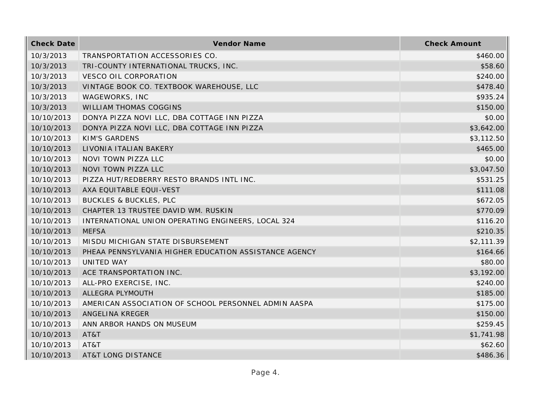| <b>Check Date</b> | Vendor Name                                           | <b>Check Amount</b> |
|-------------------|-------------------------------------------------------|---------------------|
| 10/3/2013         | TRANSPORTATION ACCESSORIES CO.                        | \$460.00            |
| 10/3/2013         | TRI-COUNTY INTERNATIONAL TRUCKS, INC.                 | \$58.60             |
| 10/3/2013         | <b>VESCO OIL CORPORATION</b>                          | \$240.00            |
| 10/3/2013         | VINTAGE BOOK CO. TEXTBOOK WAREHOUSE, LLC              | \$478.40            |
| 10/3/2013         | WAGEWORKS, INC                                        | \$935.24            |
| 10/3/2013         | WILLIAM THOMAS COGGINS                                | \$150.00            |
| 10/10/2013        | DONYA PIZZA NOVI LLC, DBA COTTAGE INN PIZZA           | \$0.00              |
| 10/10/2013        | DONYA PIZZA NOVI LLC, DBA COTTAGE INN PIZZA           | \$3,642.00          |
| 10/10/2013        | <b>KIM'S GARDENS</b>                                  | \$3,112.50          |
| 10/10/2013        | LIVONIA ITALIAN BAKERY                                | \$465.00            |
| 10/10/2013        | NOVI TOWN PIZZA LLC                                   | \$0.00              |
| 10/10/2013        | NOVI TOWN PIZZA LLC                                   | \$3,047.50          |
| 10/10/2013        | PIZZA HUT/REDBERRY RESTO BRANDS INTL INC.             | \$531.25            |
| 10/10/2013        | AXA EQUITABLE EQUI-VEST                               | \$111.08            |
| 10/10/2013        | <b>BUCKLES &amp; BUCKLES, PLC</b>                     | \$672.05            |
| 10/10/2013        | CHAPTER 13 TRUSTEE DAVID WM. RUSKIN                   | \$770.09            |
| 10/10/2013        | INTERNATIONAL UNION OPERATING ENGINEERS, LOCAL 324    | \$116.20            |
| 10/10/2013        | <b>MEFSA</b>                                          | \$210.35            |
| 10/10/2013        | MISDU MICHIGAN STATE DISBURSEMENT                     | \$2,111.39          |
| 10/10/2013        | PHEAA PENNSYLVANIA HIGHER EDUCATION ASSISTANCE AGENCY | \$164.66            |
| 10/10/2013        | UNITED WAY                                            | \$80.00             |
| 10/10/2013        | ACE TRANSPORTATION INC.                               | \$3,192.00          |
| 10/10/2013        | ALL-PRO EXERCISE, INC.                                | \$240.00            |
| 10/10/2013        | ALLEGRA PLYMOUTH                                      | \$185.00            |
| 10/10/2013        | AMERICAN ASSOCIATION OF SCHOOL PERSONNEL ADMIN AASPA  | \$175.00            |
| 10/10/2013        | ANGELINA KREGER                                       | \$150.00            |
| 10/10/2013        | ANN ARBOR HANDS ON MUSEUM                             | \$259.45            |
| 10/10/2013        | AT&T                                                  | \$1,741.98          |
| 10/10/2013        | AT&T                                                  | \$62.60             |
| 10/10/2013        | <b>AT&amp;T LONG DISTANCE</b>                         | \$486.36            |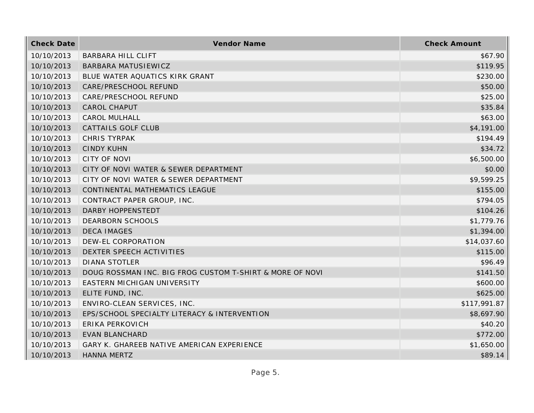| <b>Check Date</b> | Vendor Name                                              | <b>Check Amount</b> |
|-------------------|----------------------------------------------------------|---------------------|
| 10/10/2013        | <b>BARBARA HILL CLIFT</b>                                | \$67.90             |
| 10/10/2013        | BARBARA MATUSIEWICZ                                      | \$119.95            |
| 10/10/2013        | BLUE WATER AQUATICS KIRK GRANT                           | \$230.00            |
| 10/10/2013        | CARE/PRESCHOOL REFUND                                    | \$50.00             |
| 10/10/2013        | CARE/PRESCHOOL REFUND                                    | \$25.00             |
| 10/10/2013        | <b>CAROL CHAPUT</b>                                      | \$35.84             |
| 10/10/2013        | <b>CAROL MULHALL</b>                                     | \$63.00             |
| 10/10/2013        | <b>CATTAILS GOLF CLUB</b>                                | \$4,191.00          |
| 10/10/2013        | CHRIS TYRPAK                                             | \$194.49            |
| 10/10/2013        | <b>CINDY KUHN</b>                                        | \$34.72             |
| 10/10/2013        | <b>CITY OF NOVI</b>                                      | \$6,500.00          |
| 10/10/2013        | CITY OF NOVI WATER & SEWER DEPARTMENT                    | \$0.00              |
| 10/10/2013        | CITY OF NOVI WATER & SEWER DEPARTMENT                    | \$9,599.25          |
| 10/10/2013        | CONTINENTAL MATHEMATICS LEAGUE                           | \$155.00            |
| 10/10/2013        | CONTRACT PAPER GROUP, INC.                               | \$794.05            |
| 10/10/2013        | DARBY HOPPENSTEDT                                        | \$104.26            |
| 10/10/2013        | <b>DEARBORN SCHOOLS</b>                                  | \$1,779.76          |
| 10/10/2013        | <b>DECA IMAGES</b>                                       | \$1,394.00          |
| 10/10/2013        | DEW-EL CORPORATION                                       | \$14,037.60         |
| 10/10/2013        | DEXTER SPEECH ACTIVITIES                                 | \$115.00            |
| 10/10/2013        | <b>DIANA STOTLER</b>                                     | \$96.49             |
| 10/10/2013        | DOUG ROSSMAN INC. BIG FROG CUSTOM T-SHIRT & MORE OF NOVI | \$141.50            |
| 10/10/2013        | EASTERN MICHIGAN UNIVERSITY                              | \$600.00            |
| 10/10/2013        | ELITE FUND, INC.                                         | \$625.00            |
| 10/10/2013        | ENVIRO-CLEAN SERVICES, INC.                              | \$117,991.87        |
| 10/10/2013        | EPS/SCHOOL SPECIALTY LITERACY & INTERVENTION             | \$8,697.90          |
| 10/10/2013        | <b>ERIKA PERKOVICH</b>                                   | \$40.20             |
| 10/10/2013        | <b>EVAN BLANCHARD</b>                                    | \$772.00            |
| 10/10/2013        | GARY K. GHAREEB NATIVE AMERICAN EXPERIENCE               | \$1,650.00          |
| 10/10/2013        | <b>HANNA MERTZ</b>                                       | \$89.14             |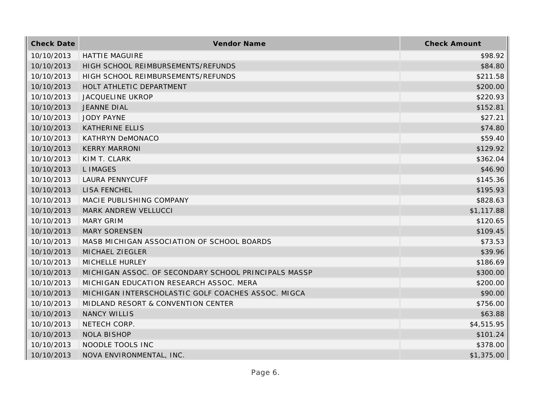| <b>Check Date</b> | Vendor Name                                          | <b>Check Amount</b> |
|-------------------|------------------------------------------------------|---------------------|
| 10/10/2013        | <b>HATTIE MAGUIRE</b>                                | \$98.92             |
| 10/10/2013        | HIGH SCHOOL REIMBURSEMENTS/REFUNDS                   | \$84.80             |
| 10/10/2013        | HIGH SCHOOL REIMBURSEMENTS/REFUNDS                   | \$211.58            |
| 10/10/2013        | HOLT ATHLETIC DEPARTMENT                             | \$200.00            |
| 10/10/2013        | JACQUELINE UKROP                                     | \$220.93            |
| 10/10/2013        | <b>JEANNE DIAL</b>                                   | \$152.81            |
| 10/10/2013        | <b>JODY PAYNE</b>                                    | \$27.21             |
| 10/10/2013        | <b>KATHERINE ELLIS</b>                               | \$74.80             |
| 10/10/2013        | <b>KATHRYN DeMONACO</b>                              | \$59.40             |
| 10/10/2013        | <b>KERRY MARRONI</b>                                 | \$129.92            |
| 10/10/2013        | KIM T. CLARK                                         | \$362.04            |
| 10/10/2013        | <b>LIMAGES</b>                                       | \$46.90             |
| 10/10/2013        | <b>LAURA PENNYCUFF</b>                               | \$145.36            |
| 10/10/2013        | <b>LISA FENCHEL</b>                                  | \$195.93            |
| 10/10/2013        | MACIE PUBLISHING COMPANY                             | \$828.63            |
| 10/10/2013        | MARK ANDREW VELLUCCI                                 | \$1,117.88          |
| 10/10/2013        | <b>MARY GRIM</b>                                     | \$120.65            |
| 10/10/2013        | <b>MARY SORENSEN</b>                                 | \$109.45            |
| 10/10/2013        | MASB MICHIGAN ASSOCIATION OF SCHOOL BOARDS           | \$73.53             |
| 10/10/2013        | MICHAEL ZIEGLER                                      | \$39.96             |
| 10/10/2013        | MICHELLE HURLEY                                      | \$186.69            |
| 10/10/2013        | MICHIGAN ASSOC. OF SECONDARY SCHOOL PRINCIPALS MASSP | \$300.00            |
| 10/10/2013        | MICHIGAN EDUCATION RESEARCH ASSOC. MERA              | \$200.00            |
| 10/10/2013        | MICHIGAN INTERSCHOLASTIC GOLF COACHES ASSOC. MIGCA   | \$90.00             |
| 10/10/2013        | MIDLAND RESORT & CONVENTION CENTER                   | \$756.00            |
| 10/10/2013        | <b>NANCY WILLIS</b>                                  | \$63.88             |
| 10/10/2013        | NETECH CORP.                                         | \$4,515.95          |
| 10/10/2013        | <b>NOLA BISHOP</b>                                   | \$101.24            |
| 10/10/2013        | NOODLE TOOLS INC                                     | \$378.00            |
| 10/10/2013        | NOVA ENVIRONMENTAL, INC.                             | \$1,375.00          |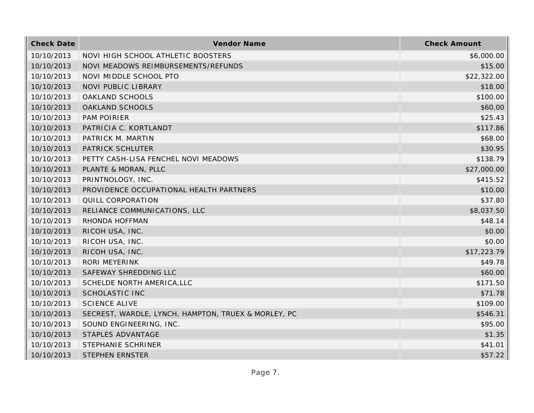| <b>Check Date</b> | Vendor Name                                         | <b>Check Amount</b> |
|-------------------|-----------------------------------------------------|---------------------|
| 10/10/2013        | NOVI HIGH SCHOOL ATHLETIC BOOSTERS                  | \$6,000.00          |
| 10/10/2013        | NOVI MEADOWS REIMBURSEMENTS/REFUNDS                 | \$15.00             |
| 10/10/2013        | NOVI MIDDLE SCHOOL PTO                              | \$22,322.00         |
| 10/10/2013        | <b>NOVI PUBLIC LIBRARY</b>                          | \$18.00             |
| 10/10/2013        | OAKLAND SCHOOLS                                     | \$100.00            |
| 10/10/2013        | OAKLAND SCHOOLS                                     | \$60.00             |
| 10/10/2013        | <b>PAM POIRIER</b>                                  | \$25.43             |
| 10/10/2013        | PATRICIA C. KORTLANDT                               | \$117.86            |
| 10/10/2013        | PATRICK M. MARTIN                                   | \$68.00             |
| 10/10/2013        | PATRICK SCHLUTER                                    | \$30.95             |
| 10/10/2013        | PETTY CASH-LISA FENCHEL NOVI MEADOWS                | \$138.79            |
| 10/10/2013        | PLANTE & MORAN, PLLC                                | \$27,000.00         |
| 10/10/2013        | PRINTNOLOGY, INC.                                   | \$415.52            |
| 10/10/2013        | PROVIDENCE OCCUPATIONAL HEALTH PARTNERS             | \$10.00             |
| 10/10/2013        | QUILL CORPORATION                                   | \$37.80             |
| 10/10/2013        | RELIANCE COMMUNICATIONS, LLC                        | \$8,037.50          |
| 10/10/2013        | RHONDA HOFFMAN                                      | \$48.14             |
| 10/10/2013        | RICOH USA, INC.                                     | \$0.00              |
| 10/10/2013        | RICOH USA, INC.                                     | \$0.00              |
| 10/10/2013        | RICOH USA, INC.                                     | \$17,223.79         |
| 10/10/2013        | RORI MEYERINK                                       | \$49.78             |
| 10/10/2013        | SAFEWAY SHREDDING LLC                               | \$60.00             |
| 10/10/2013        | SCHELDE NORTH AMERICA, LLC                          | \$171.50            |
| 10/10/2013        | <b>SCHOLASTIC INC</b>                               | \$71.78             |
| 10/10/2013        | <b>SCIENCE ALIVE</b>                                | \$109.00            |
| 10/10/2013        | SECREST, WARDLE, LYNCH, HAMPTON, TRUEX & MORLEY, PC | \$546.31            |
| 10/10/2013        | SOUND ENGINEERING, INC.                             | \$95.00             |
| 10/10/2013        | STAPLES ADVANTAGE                                   | \$1.35              |
| 10/10/2013        | STEPHANIE SCHRINER                                  | \$41.01             |
| 10/10/2013        | <b>STEPHEN ERNSTER</b>                              | \$57.22             |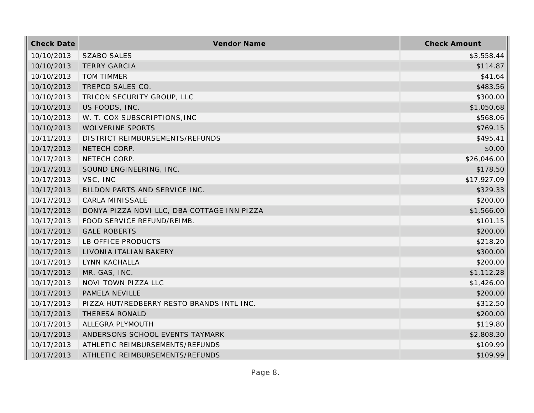| <b>Check Date</b> | Vendor Name                                 | <b>Check Amount</b> |
|-------------------|---------------------------------------------|---------------------|
| 10/10/2013        | <b>SZABO SALES</b>                          | \$3,558.44          |
| 10/10/2013        | <b>TERRY GARCIA</b>                         | \$114.87            |
| 10/10/2013        | <b>TOM TIMMER</b>                           | \$41.64             |
| 10/10/2013        | TREPCO SALES CO.                            | \$483.56            |
| 10/10/2013        | TRICON SECURITY GROUP, LLC                  | \$300.00            |
| 10/10/2013        | US FOODS, INC.                              | \$1,050.68          |
| 10/10/2013        | W. T. COX SUBSCRIPTIONS, INC                | \$568.06            |
| 10/10/2013        | WOLVERINE SPORTS                            | \$769.15            |
| 10/11/2013        | DISTRICT REIMBURSEMENTS/REFUNDS             | \$495.41            |
| 10/17/2013        | NETECH CORP.                                | \$0.00              |
| 10/17/2013        | NETECH CORP.                                | \$26,046.00         |
| 10/17/2013        | SOUND ENGINEERING, INC.                     | \$178.50            |
| 10/17/2013        | VSC, INC                                    | \$17,927.09         |
| 10/17/2013        | BILDON PARTS AND SERVICE INC.               | \$329.33            |
| 10/17/2013        | <b>CARLA MINISSALE</b>                      | \$200.00            |
| 10/17/2013        | DONYA PIZZA NOVI LLC, DBA COTTAGE INN PIZZA | \$1,566.00          |
| 10/17/2013        | FOOD SERVICE REFUND/REIMB.                  | \$101.15            |
| 10/17/2013        | <b>GALE ROBERTS</b>                         | \$200.00            |
| 10/17/2013        | LB OFFICE PRODUCTS                          | \$218.20            |
| 10/17/2013        | LIVONIA ITALIAN BAKERY                      | \$300.00            |
| 10/17/2013        | LYNN KACHALLA                               | \$200.00            |
| 10/17/2013        | MR. GAS, INC.                               | \$1,112.28          |
| 10/17/2013        | NOVI TOWN PIZZA LLC                         | \$1,426.00          |
| 10/17/2013        | PAMELA NEVILLE                              | \$200.00            |
| 10/17/2013        | PIZZA HUT/REDBERRY RESTO BRANDS INTL INC.   | \$312.50            |
| 10/17/2013        | THERESA RONALD                              | \$200.00            |
| 10/17/2013        | ALLEGRA PLYMOUTH                            | \$119.80            |
| 10/17/2013        | ANDERSONS SCHOOL EVENTS TAYMARK             | \$2,808.30          |
| 10/17/2013        | ATHLETIC REIMBURSEMENTS/REFUNDS             | \$109.99            |
| 10/17/2013        | ATHLETIC REIMBURSEMENTS/REFUNDS             | \$109.99            |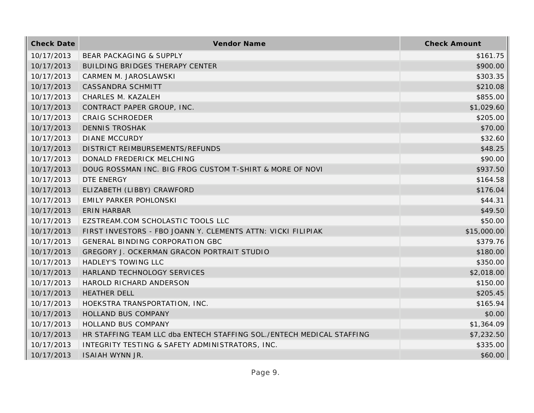| <b>Check Date</b> | Vendor Name                                                           | <b>Check Amount</b> |
|-------------------|-----------------------------------------------------------------------|---------------------|
| 10/17/2013        | BEAR PACKAGING & SUPPLY                                               | \$161.75            |
| 10/17/2013        | <b>BUILDING BRIDGES THERAPY CENTER</b>                                | \$900.00            |
| 10/17/2013        | CARMEN M. JAROSLAWSKI                                                 | \$303.35            |
| 10/17/2013        | CASSANDRA SCHMITT                                                     | \$210.08            |
| 10/17/2013        | CHARLES M. KAZALEH                                                    | \$855.00            |
| 10/17/2013        | CONTRACT PAPER GROUP, INC.                                            | \$1,029.60          |
| 10/17/2013        | <b>CRAIG SCHROEDER</b>                                                | \$205.00            |
| 10/17/2013        | <b>DENNIS TROSHAK</b>                                                 | \$70.00             |
| 10/17/2013        | <b>DIANE MCCURDY</b>                                                  | \$32.60             |
| 10/17/2013        | DISTRICT REIMBURSEMENTS/REFUNDS                                       | \$48.25             |
| 10/17/2013        | DONALD FREDERICK MELCHING                                             | \$90.00             |
| 10/17/2013        | DOUG ROSSMAN INC. BIG FROG CUSTOM T-SHIRT & MORE OF NOVI              | \$937.50            |
| 10/17/2013        | DTE ENERGY                                                            | \$164.58            |
| 10/17/2013        | ELIZABETH (LIBBY) CRAWFORD                                            | \$176.04            |
| 10/17/2013        | <b>EMILY PARKER POHLONSKI</b>                                         | \$44.31             |
| 10/17/2013        | <b>ERIN HARBAR</b>                                                    | \$49.50             |
| 10/17/2013        | EZSTREAM.COM SCHOLASTIC TOOLS LLC                                     | \$50.00             |
| 10/17/2013        | FIRST INVESTORS - FBO JOANN Y. CLEMENTS ATTN: VICKI FILIPIAK          | \$15,000.00         |
| 10/17/2013        | GENERAL BINDING CORPORATION GBC                                       | \$379.76            |
| 10/17/2013        | GREGORY J. OCKERMAN GRACON PORTRAIT STUDIO                            | \$180.00            |
| 10/17/2013        | HADLEY'S TOWING LLC                                                   | \$350.00            |
| 10/17/2013        | HARLAND TECHNOLOGY SERVICES                                           | \$2,018.00          |
| 10/17/2013        | HAROLD RICHARD ANDERSON                                               | \$150.00            |
| 10/17/2013        | <b>HEATHER DELL</b>                                                   | \$205.45            |
| 10/17/2013        | HOEKSTRA TRANSPORTATION, INC.                                         | \$165.94            |
| 10/17/2013        | HOLLAND BUS COMPANY                                                   | \$0.00              |
| 10/17/2013        | <b>HOLLAND BUS COMPANY</b>                                            | \$1,364.09          |
| 10/17/2013        | HR STAFFING TEAM LLC dba ENTECH STAFFING SOL./ENTECH MEDICAL STAFFING | \$7,232.50          |
| 10/17/2013        | INTEGRITY TESTING & SAFETY ADMINISTRATORS, INC.                       | \$335.00            |
| 10/17/2013        | ISAIAH WYNN JR.                                                       | \$60.00             |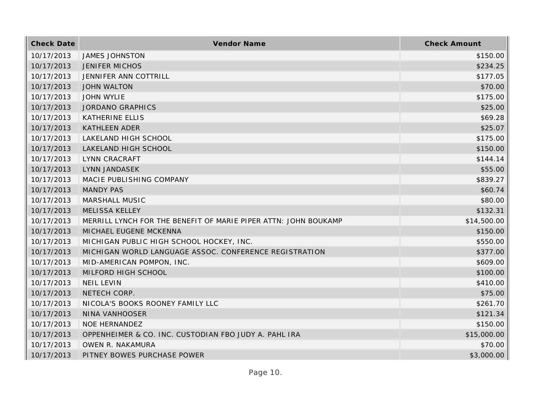| <b>Check Date</b> | Vendor Name                                                     | <b>Check Amount</b> |
|-------------------|-----------------------------------------------------------------|---------------------|
| 10/17/2013        | <b>JAMES JOHNSTON</b>                                           | \$150.00            |
| 10/17/2013        | <b>JENIFER MICHOS</b>                                           | \$234.25            |
| 10/17/2013        | JENNIFER ANN COTTRILL                                           | \$177.05            |
| 10/17/2013        | <b>JOHN WALTON</b>                                              | \$70.00             |
| 10/17/2013        | <b>JOHN WYLIE</b>                                               | \$175.00            |
| 10/17/2013        | <b>JORDANO GRAPHICS</b>                                         | \$25.00             |
| 10/17/2013        | <b>KATHERINE ELLIS</b>                                          | \$69.28             |
| 10/17/2013        | <b>KATHLEEN ADER</b>                                            | \$25.07             |
| 10/17/2013        | LAKELAND HIGH SCHOOL                                            | \$175.00            |
| 10/17/2013        | LAKELAND HIGH SCHOOL                                            | \$150.00            |
| 10/17/2013        | LYNN CRACRAFT                                                   | \$144.14            |
| 10/17/2013        | <b>LYNN JANDASEK</b>                                            | \$55.00             |
| 10/17/2013        | MACIE PUBLISHING COMPANY                                        | \$839.27            |
| 10/17/2013        | <b>MANDY PAS</b>                                                | \$60.74             |
| 10/17/2013        | MARSHALL MUSIC                                                  | \$80.00             |
| 10/17/2013        | <b>MELISSA KELLEY</b>                                           | \$132.31            |
| 10/17/2013        | MERRILL LYNCH FOR THE BENEFIT OF MARIE PIPER ATTN: JOHN BOUKAMP | \$14,500.00         |
| 10/17/2013        | MICHAEL EUGENE MCKENNA                                          | \$150.00            |
| 10/17/2013        | MICHIGAN PUBLIC HIGH SCHOOL HOCKEY, INC.                        | \$550.00            |
| 10/17/2013        | MICHIGAN WORLD LANGUAGE ASSOC. CONFERENCE REGISTRATION          | \$377.00            |
| 10/17/2013        | MID-AMERICAN POMPON, INC.                                       | \$609.00            |
| 10/17/2013        | MILFORD HIGH SCHOOL                                             | \$100.00            |
| 10/17/2013        | <b>NEIL LEVIN</b>                                               | \$410.00            |
| 10/17/2013        | NETECH CORP.                                                    | \$75.00             |
| 10/17/2013        | NICOLA'S BOOKS ROONEY FAMILY LLC                                | \$261.70            |
| 10/17/2013        | NINA VANHOOSER                                                  | \$121.34            |
| 10/17/2013        | <b>NOE HERNANDEZ</b>                                            | \$150.00            |
| 10/17/2013        | OPPENHEIMER & CO. INC. CUSTODIAN FBO JUDY A. PAHL IRA           | \$15,000.00         |
| 10/17/2013        | OWEN R. NAKAMURA                                                | \$70.00             |
| 10/17/2013        | PITNEY BOWES PURCHASE POWER                                     | \$3,000.00          |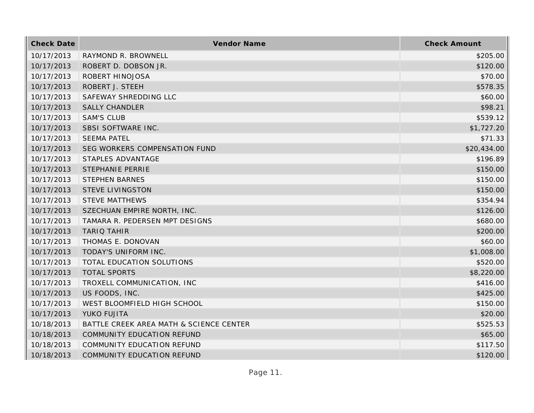| <b>Check Date</b> | Vendor Name                             | <b>Check Amount</b> |
|-------------------|-----------------------------------------|---------------------|
| 10/17/2013        | RAYMOND R. BROWNELL                     | \$205.00            |
| 10/17/2013        | ROBERT D. DOBSON JR.                    | \$120.00            |
| 10/17/2013        | ROBERT HINOJOSA                         | \$70.00             |
| 10/17/2013        | ROBERT J. STEEH                         | \$578.35            |
| 10/17/2013        | SAFEWAY SHREDDING LLC                   | \$60.00             |
| 10/17/2013        | <b>SALLY CHANDLER</b>                   | \$98.21             |
| 10/17/2013        | <b>SAM'S CLUB</b>                       | \$539.12            |
| 10/17/2013        | SBSI SOFTWARE INC.                      | \$1,727.20          |
| 10/17/2013        | <b>SEEMA PATEL</b>                      | \$71.33             |
| 10/17/2013        | SEG WORKERS COMPENSATION FUND           | \$20,434.00         |
| 10/17/2013        | STAPLES ADVANTAGE                       | \$196.89            |
| 10/17/2013        | <b>STEPHANIE PERRIE</b>                 | \$150.00            |
| 10/17/2013        | <b>STEPHEN BARNES</b>                   | \$150.00            |
| 10/17/2013        | <b>STEVE LIVINGSTON</b>                 | \$150.00            |
| 10/17/2013        | <b>STEVE MATTHEWS</b>                   | \$354.94            |
| 10/17/2013        | SZECHUAN EMPIRE NORTH, INC.             | \$126.00            |
| 10/17/2013        | TAMARA R. PEDERSEN MPT DESIGNS          | \$680.00            |
| 10/17/2013        | <b>TARIQ TAHIR</b>                      | \$200.00            |
| 10/17/2013        | THOMAS E. DONOVAN                       | \$60.00             |
| 10/17/2013        | TODAY'S UNIFORM INC.                    | \$1,008.00          |
| 10/17/2013        | TOTAL EDUCATION SOLUTIONS               | \$520.00            |
| 10/17/2013        | <b>TOTAL SPORTS</b>                     | \$8,220.00          |
| 10/17/2013        | TROXELL COMMUNICATION, INC              | \$416.00            |
| 10/17/2013        | US FOODS, INC.                          | \$425.00            |
| 10/17/2013        | WEST BLOOMFIELD HIGH SCHOOL             | \$150.00            |
| 10/17/2013        | YUKO FUJITA                             | \$20.00             |
| 10/18/2013        | BATTLE CREEK AREA MATH & SCIENCE CENTER | \$525.53            |
| 10/18/2013        | COMMUNITY EDUCATION REFUND              | \$65.00             |
| 10/18/2013        | COMMUNITY EDUCATION REFUND              | \$117.50            |
| 10/18/2013        | COMMUNITY EDUCATION REFUND              | \$120.00            |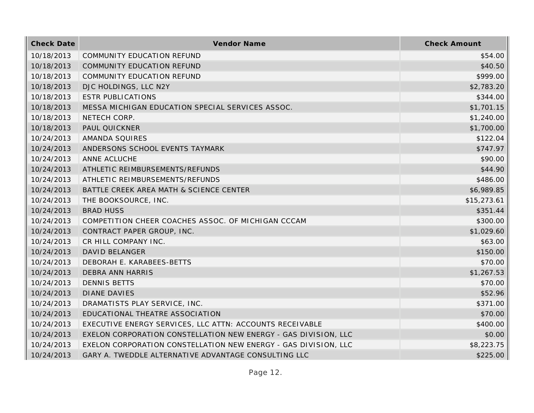| <b>Check Date</b> | Vendor Name                                                     | <b>Check Amount</b> |
|-------------------|-----------------------------------------------------------------|---------------------|
| 10/18/2013        | COMMUNITY EDUCATION REFUND                                      | \$54.00             |
| 10/18/2013        | COMMUNITY EDUCATION REFUND                                      | \$40.50             |
| 10/18/2013        | COMMUNITY EDUCATION REFUND                                      | \$999.00            |
| 10/18/2013        | DJC HOLDINGS, LLC N2Y                                           | \$2,783.20          |
| 10/18/2013        | <b>ESTR PUBLICATIONS</b>                                        | \$344.00            |
| 10/18/2013        | MESSA MICHIGAN EDUCATION SPECIAL SERVICES ASSOC.                | \$1,701.15          |
| 10/18/2013        | NETECH CORP.                                                    | \$1,240.00          |
| 10/18/2013        | PAUL QUICKNER                                                   | \$1,700.00          |
| 10/24/2013        | AMANDA SQUIRES                                                  | \$122.04            |
| 10/24/2013        | ANDERSONS SCHOOL EVENTS TAYMARK                                 | \$747.97            |
| 10/24/2013        | ANNE ACLUCHE                                                    | \$90.00             |
| 10/24/2013        | ATHLETIC REIMBURSEMENTS/REFUNDS                                 | \$44.90             |
| 10/24/2013        | ATHLETIC REIMBURSEMENTS/REFUNDS                                 | \$486.00            |
| 10/24/2013        | BATTLE CREEK AREA MATH & SCIENCE CENTER                         | \$6,989.85          |
| 10/24/2013        | THE BOOKSOURCE, INC.                                            | \$15,273.61         |
| 10/24/2013        | <b>BRAD HUSS</b>                                                | \$351.44            |
| 10/24/2013        | COMPETITION CHEER COACHES ASSOC. OF MICHIGAN CCCAM              | \$300.00            |
| 10/24/2013        | CONTRACT PAPER GROUP, INC.                                      | \$1,029.60          |
| 10/24/2013        | CR HILL COMPANY INC.                                            | \$63.00             |
| 10/24/2013        | <b>DAVID BELANGER</b>                                           | \$150.00            |
| 10/24/2013        | DEBORAH E. KARABEES-BETTS                                       | \$70.00             |
| 10/24/2013        | <b>DEBRA ANN HARRIS</b>                                         | \$1,267.53          |
| 10/24/2013        | <b>DENNIS BETTS</b>                                             | \$70.00             |
| 10/24/2013        | <b>DIANE DAVIES</b>                                             | \$52.96             |
| 10/24/2013        | DRAMATISTS PLAY SERVICE, INC.                                   | \$371.00            |
| 10/24/2013        | EDUCATIONAL THEATRE ASSOCIATION                                 | \$70.00             |
| 10/24/2013        | EXECUTIVE ENERGY SERVICES, LLC ATTN: ACCOUNTS RECEIVABLE        | \$400.00            |
| 10/24/2013        | EXELON CORPORATION CONSTELLATION NEW ENERGY - GAS DIVISION, LLC | \$0.00              |
| 10/24/2013        | EXELON CORPORATION CONSTELLATION NEW ENERGY - GAS DIVISION, LLC | \$8,223.75          |
| 10/24/2013        | GARY A. TWEDDLE ALTERNATIVE ADVANTAGE CONSULTING LLC            | \$225.00            |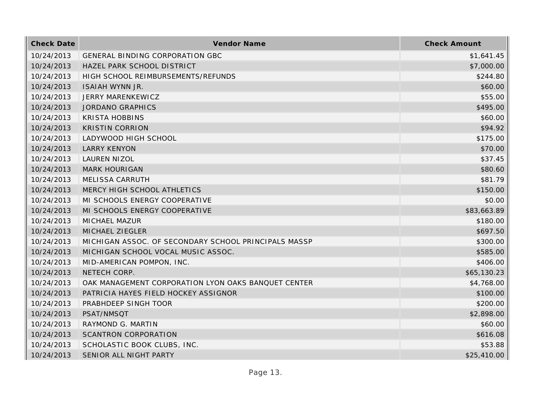| <b>Check Date</b> | Vendor Name                                          | <b>Check Amount</b> |
|-------------------|------------------------------------------------------|---------------------|
| 10/24/2013        | GENERAL BINDING CORPORATION GBC                      | \$1,641.45          |
| 10/24/2013        | HAZEL PARK SCHOOL DISTRICT                           | \$7,000.00          |
| 10/24/2013        | HIGH SCHOOL REIMBURSEMENTS/REFUNDS                   | \$244.80            |
| 10/24/2013        | <b>ISAIAH WYNN JR.</b>                               | \$60.00             |
| 10/24/2013        | JERRY MARENKEWICZ                                    | \$55.00             |
| 10/24/2013        | <b>JORDANO GRAPHICS</b>                              | \$495.00            |
| 10/24/2013        | <b>KRISTA HOBBINS</b>                                | \$60.00             |
| 10/24/2013        | <b>KRISTIN CORRION</b>                               | \$94.92             |
| 10/24/2013        | LADYWOOD HIGH SCHOOL                                 | \$175.00            |
| 10/24/2013        | <b>LARRY KENYON</b>                                  | \$70.00             |
| 10/24/2013        | LAUREN NIZOL                                         | \$37.45             |
| 10/24/2013        | <b>MARK HOURIGAN</b>                                 | \$80.60             |
| 10/24/2013        | MELISSA CARRUTH                                      | \$81.79             |
| 10/24/2013        | MERCY HIGH SCHOOL ATHLETICS                          | \$150.00            |
| 10/24/2013        | MI SCHOOLS ENERGY COOPERATIVE                        | \$0.00              |
| 10/24/2013        | MI SCHOOLS ENERGY COOPERATIVE                        | \$83,663.89         |
| 10/24/2013        | MICHAEL MAZUR                                        | \$180.00            |
| 10/24/2013        | MICHAEL ZIEGLER                                      | \$697.50            |
| 10/24/2013        | MICHIGAN ASSOC. OF SECONDARY SCHOOL PRINCIPALS MASSP | \$300.00            |
| 10/24/2013        | MICHIGAN SCHOOL VOCAL MUSIC ASSOC.                   | \$585.00            |
| 10/24/2013        | MID-AMERICAN POMPON, INC.                            | \$406.00            |
| 10/24/2013        | NETECH CORP.                                         | \$65,130.23         |
| 10/24/2013        | OAK MANAGEMENT CORPORATION LYON OAKS BANQUET CENTER  | \$4,768.00          |
| 10/24/2013        | PATRICIA HAYES FIELD HOCKEY ASSIGNOR                 | \$100.00            |
| 10/24/2013        | PRABHDEEP SINGH TOOR                                 | \$200.00            |
| 10/24/2013        | PSAT/NMSQT                                           | \$2,898.00          |
| 10/24/2013        | RAYMOND G. MARTIN                                    | \$60.00             |
| 10/24/2013        | <b>SCANTRON CORPORATION</b>                          | \$616.08            |
| 10/24/2013        | SCHOLASTIC BOOK CLUBS, INC.                          | \$53.88             |
| 10/24/2013        | SENIOR ALL NIGHT PARTY                               | \$25,410.00         |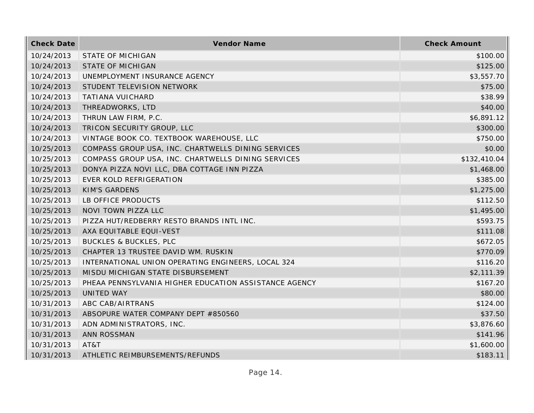| <b>Check Date</b> | Vendor Name                                           | <b>Check Amount</b> |
|-------------------|-------------------------------------------------------|---------------------|
| 10/24/2013        | STATE OF MICHIGAN                                     | \$100.00            |
| 10/24/2013        | <b>STATE OF MICHIGAN</b>                              | \$125.00            |
| 10/24/2013        | UNEMPLOYMENT INSURANCE AGENCY                         | \$3,557.70          |
| 10/24/2013        | STUDENT TELEVISION NETWORK                            | \$75.00             |
| 10/24/2013        | TATIANA VUICHARD                                      | \$38.99             |
| 10/24/2013        | THREADWORKS, LTD                                      | \$40.00             |
| 10/24/2013        | THRUN LAW FIRM, P.C.                                  | \$6,891.12          |
| 10/24/2013        | TRICON SECURITY GROUP, LLC                            | \$300.00            |
| 10/24/2013        | VINTAGE BOOK CO. TEXTBOOK WAREHOUSE, LLC              | \$750.00            |
| 10/25/2013        | COMPASS GROUP USA, INC. CHARTWELLS DINING SERVICES    | \$0.00              |
| 10/25/2013        | COMPASS GROUP USA, INC. CHARTWELLS DINING SERVICES    | \$132,410.04        |
| 10/25/2013        | DONYA PIZZA NOVI LLC, DBA COTTAGE INN PIZZA           | \$1,468.00          |
| 10/25/2013        | EVER KOLD REFRIGERATION                               | \$385.00            |
| 10/25/2013        | <b>KIM'S GARDENS</b>                                  | \$1,275.00          |
| 10/25/2013        | LB OFFICE PRODUCTS                                    | \$112.50            |
| 10/25/2013        | NOVI TOWN PIZZA LLC                                   | \$1,495.00          |
| 10/25/2013        | PIZZA HUT/REDBERRY RESTO BRANDS INTL INC.             | \$593.75            |
| 10/25/2013        | AXA EQUITABLE EQUI-VEST                               | \$111.08            |
| 10/25/2013        | <b>BUCKLES &amp; BUCKLES, PLC</b>                     | \$672.05            |
| 10/25/2013        | CHAPTER 13 TRUSTEE DAVID WM. RUSKIN                   | \$770.09            |
| 10/25/2013        | INTERNATIONAL UNION OPERATING ENGINEERS, LOCAL 324    | \$116.20            |
| 10/25/2013        | MISDU MICHIGAN STATE DISBURSEMENT                     | \$2,111.39          |
| 10/25/2013        | PHEAA PENNSYLVANIA HIGHER EDUCATION ASSISTANCE AGENCY | \$167.20            |
| 10/25/2013        | UNITED WAY                                            | \$80.00             |
| 10/31/2013        | ABC CAB/AIRTRANS                                      | \$124.00            |
| 10/31/2013        | ABSOPURE WATER COMPANY DEPT #850560                   | \$37.50             |
| 10/31/2013        | ADN ADMINISTRATORS, INC.                              | \$3,876.60          |
| 10/31/2013        | <b>ANN ROSSMAN</b>                                    | \$141.96            |
| 10/31/2013        | AT&T                                                  | \$1,600.00          |
| 10/31/2013        | ATHLETIC REIMBURSEMENTS/REFUNDS                       | \$183.11            |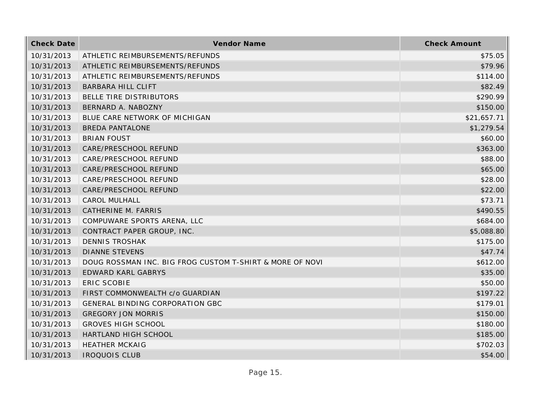| <b>Check Date</b> | Vendor Name                                              | <b>Check Amount</b> |
|-------------------|----------------------------------------------------------|---------------------|
| 10/31/2013        | ATHLETIC REIMBURSEMENTS/REFUNDS                          | \$75.05             |
| 10/31/2013        | ATHLETIC REIMBURSEMENTS/REFUNDS                          | \$79.96             |
| 10/31/2013        | ATHLETIC REIMBURSEMENTS/REFUNDS                          | \$114.00            |
| 10/31/2013        | <b>BARBARA HILL CLIFT</b>                                | \$82.49             |
| 10/31/2013        | BELLE TIRE DISTRIBUTORS                                  | \$290.99            |
| 10/31/2013        | BERNARD A. NABOZNY                                       | \$150.00            |
| 10/31/2013        | BLUE CARE NETWORK OF MICHIGAN                            | \$21,657.71         |
| 10/31/2013        | <b>BREDA PANTALONE</b>                                   | \$1,279.54          |
| 10/31/2013        | <b>BRIAN FOUST</b>                                       | \$60.00             |
| 10/31/2013        | CARE/PRESCHOOL REFUND                                    | \$363.00            |
| 10/31/2013        | CARE/PRESCHOOL REFUND                                    | \$88.00             |
| 10/31/2013        | CARE/PRESCHOOL REFUND                                    | \$65.00             |
| 10/31/2013        | CARE/PRESCHOOL REFUND                                    | \$28.00             |
| 10/31/2013        | CARE/PRESCHOOL REFUND                                    | \$22.00             |
| 10/31/2013        | <b>CAROL MULHALL</b>                                     | \$73.71             |
| 10/31/2013        | CATHERINE M. FARRIS                                      | \$490.55            |
| 10/31/2013        | COMPUWARE SPORTS ARENA, LLC                              | \$684.00            |
| 10/31/2013        | CONTRACT PAPER GROUP, INC.                               | \$5,088.80          |
| 10/31/2013        | <b>DENNIS TROSHAK</b>                                    | \$175.00            |
| 10/31/2013        | <b>DIANNE STEVENS</b>                                    | \$47.74             |
| 10/31/2013        | DOUG ROSSMAN INC. BIG FROG CUSTOM T-SHIRT & MORE OF NOVI | \$612.00            |
| 10/31/2013        | EDWARD KARL GABRYS                                       | \$35.00             |
| 10/31/2013        | <b>ERIC SCOBIE</b>                                       | \$50.00             |
| 10/31/2013        | FIRST COMMONWEALTH c/o GUARDIAN                          | \$197.22            |
| 10/31/2013        | GENERAL BINDING CORPORATION GBC                          | \$179.01            |
| 10/31/2013        | <b>GREGORY JON MORRIS</b>                                | \$150.00            |
| 10/31/2013        | <b>GROVES HIGH SCHOOL</b>                                | \$180.00            |
| 10/31/2013        | HARTLAND HIGH SCHOOL                                     | \$185.00            |
| 10/31/2013        | <b>HEATHER MCKAIG</b>                                    | \$702.03            |
| 10/31/2013        | <b>IROQUOIS CLUB</b>                                     | \$54.00             |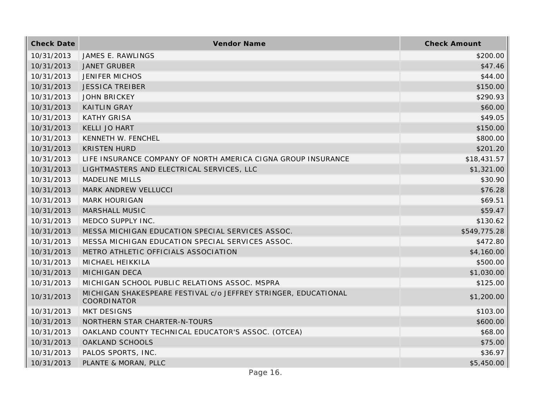| <b>Check Date</b> | Vendor Name                                                                    | <b>Check Amount</b> |
|-------------------|--------------------------------------------------------------------------------|---------------------|
| 10/31/2013        | JAMES E. RAWLINGS                                                              | \$200.00            |
| 10/31/2013        | <b>JANET GRUBER</b>                                                            | \$47.46             |
| 10/31/2013        | <b>JENIFER MICHOS</b>                                                          | \$44.00             |
| 10/31/2013        | <b>JESSICA TREIBER</b>                                                         | \$150.00            |
| 10/31/2013        | <b>JOHN BRICKEY</b>                                                            | \$290.93            |
| 10/31/2013        | <b>KAITLIN GRAY</b>                                                            | \$60.00             |
| 10/31/2013        | <b>KATHY GRISA</b>                                                             | \$49.05             |
| 10/31/2013        | KELLI JO HART                                                                  | \$150.00            |
| 10/31/2013        | KENNETH W. FENCHEL                                                             | \$800.00            |
| 10/31/2013        | <b>KRISTEN HURD</b>                                                            | \$201.20            |
| 10/31/2013        | LIFE INSURANCE COMPANY OF NORTH AMERICA CIGNA GROUP INSURANCE                  | \$18,431.57         |
| 10/31/2013        | LIGHTMASTERS AND ELECTRICAL SERVICES, LLC                                      | \$1,321.00          |
| 10/31/2013        | <b>MADELINE MILLS</b>                                                          | \$30.90             |
| 10/31/2013        | MARK ANDREW VELLUCCI                                                           | \$76.28             |
| 10/31/2013        | <b>MARK HOURIGAN</b>                                                           | \$69.51             |
| 10/31/2013        | MARSHALL MUSIC                                                                 | \$59.47             |
| 10/31/2013        | MEDCO SUPPLY INC.                                                              | \$130.62            |
| 10/31/2013        | MESSA MICHIGAN EDUCATION SPECIAL SERVICES ASSOC.                               | \$549,775.28        |
| 10/31/2013        | MESSA MICHIGAN EDUCATION SPECIAL SERVICES ASSOC.                               | \$472.80            |
| 10/31/2013        | METRO ATHLETIC OFFICIALS ASSOCIATION                                           | \$4,160.00          |
| 10/31/2013        | MICHAEL HEIKKILA                                                               | \$500.00            |
| 10/31/2013        | MICHIGAN DECA                                                                  | \$1,030.00          |
| 10/31/2013        | MICHIGAN SCHOOL PUBLIC RELATIONS ASSOC. MSPRA                                  | \$125.00            |
| 10/31/2013        | MICHIGAN SHAKESPEARE FESTIVAL c/o JEFFREY STRINGER, EDUCATIONAL<br>COORDINATOR | \$1,200.00          |
| 10/31/2013        | <b>MKT DESIGNS</b>                                                             | \$103.00            |
| 10/31/2013        | NORTHERN STAR CHARTER-N-TOURS                                                  | \$600.00            |
| 10/31/2013        | OAKLAND COUNTY TECHNICAL EDUCATOR'S ASSOC. (OTCEA)                             | \$68.00             |
| 10/31/2013        | OAKLAND SCHOOLS                                                                | \$75.00             |
| 10/31/2013        | PALOS SPORTS, INC.                                                             | \$36.97             |
| 10/31/2013        | PLANTE & MORAN, PLLC                                                           | \$5,450.00          |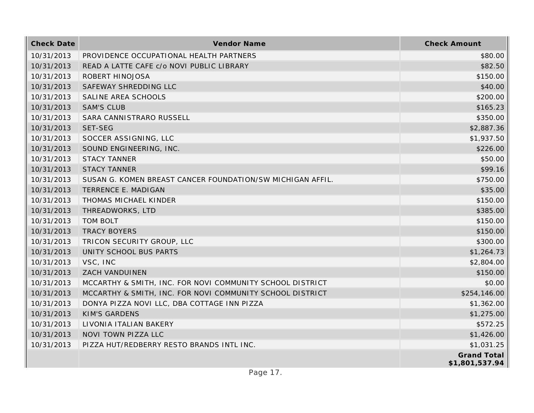| <b>Check Date</b> | Vendor Name                                                | <b>Check Amount</b>                  |
|-------------------|------------------------------------------------------------|--------------------------------------|
| 10/31/2013        | PROVIDENCE OCCUPATIONAL HEALTH PARTNERS                    | \$80.00                              |
| 10/31/2013        | READ A LATTE CAFE c/o NOVI PUBLIC LIBRARY                  | \$82.50                              |
| 10/31/2013        | ROBERT HINOJOSA                                            | \$150.00                             |
| 10/31/2013        | SAFEWAY SHREDDING LLC                                      | \$40.00                              |
| 10/31/2013        | SALINE AREA SCHOOLS                                        | \$200.00                             |
| 10/31/2013        | <b>SAM'S CLUB</b>                                          | \$165.23                             |
| 10/31/2013        | SARA CANNISTRARO RUSSELL                                   | \$350.00                             |
| 10/31/2013        | SET-SEG                                                    | \$2,887.36                           |
| 10/31/2013        | SOCCER ASSIGNING, LLC                                      | \$1,937.50                           |
| 10/31/2013        | SOUND ENGINEERING, INC.                                    | \$226.00                             |
| 10/31/2013        | <b>STACY TANNER</b>                                        | \$50.00                              |
| 10/31/2013        | <b>STACY TANNER</b>                                        | \$99.16                              |
| 10/31/2013        | SUSAN G. KOMEN BREAST CANCER FOUNDATION/SW MICHIGAN AFFIL. | \$750.00                             |
| 10/31/2013        | TERRENCE E. MADIGAN                                        | \$35.00                              |
| 10/31/2013        | THOMAS MICHAEL KINDER                                      | \$150.00                             |
| 10/31/2013        | THREADWORKS, LTD                                           | \$385.00                             |
| 10/31/2013        | <b>TOM BOLT</b>                                            | \$150.00                             |
| 10/31/2013        | <b>TRACY BOYERS</b>                                        | \$150.00                             |
| 10/31/2013        | TRICON SECURITY GROUP, LLC                                 | \$300.00                             |
| 10/31/2013        | UNITY SCHOOL BUS PARTS                                     | \$1,264.73                           |
| 10/31/2013        | VSC, INC                                                   | \$2,804.00                           |
| 10/31/2013        | ZACH VANDUINEN                                             | \$150.00                             |
| 10/31/2013        | MCCARTHY & SMITH, INC. FOR NOVI COMMUNITY SCHOOL DISTRICT  | \$0.00                               |
| 10/31/2013        | MCCARTHY & SMITH, INC. FOR NOVI COMMUNITY SCHOOL DISTRICT  | \$254,146.00                         |
| 10/31/2013        | DONYA PIZZA NOVI LLC, DBA COTTAGE INN PIZZA                | \$1,362.00                           |
| 10/31/2013        | <b>KIM'S GARDENS</b>                                       | \$1,275.00                           |
| 10/31/2013        | LIVONIA ITALIAN BAKERY                                     | \$572.25                             |
| 10/31/2013        | NOVI TOWN PIZZA LLC                                        | \$1,426.00                           |
| 10/31/2013        | PIZZA HUT/REDBERRY RESTO BRANDS INTL INC.                  | \$1,031.25                           |
|                   |                                                            | <b>Grand Total</b><br>\$1,801,537.94 |